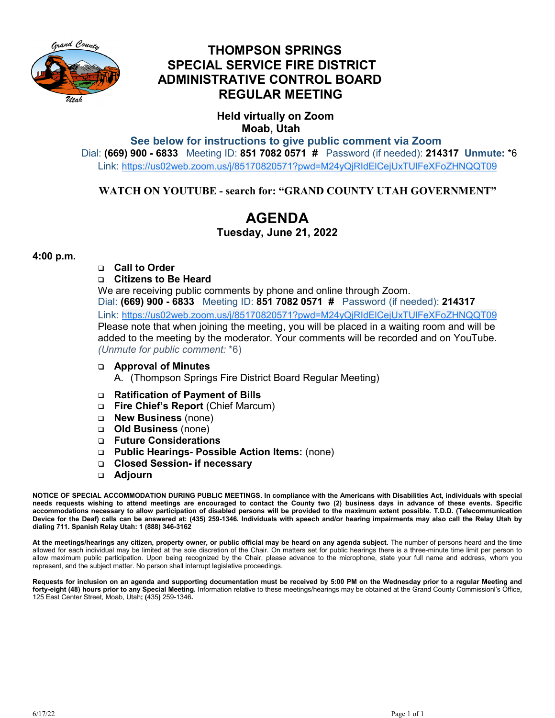

## **THOMPSON SPRINGS SPECIAL SERVICE FIRE DISTRICT ADMINISTRATIVE CONTROL BOARD REGULAR MEETING**

 **Held virtually on Zoom Moab, Utah**

**See below for instructions to give public comment via Zoom**  Dial: **(669) 900 - 6833** Meeting ID: **851 7082 0571 #** Password (if needed): **214317 Unmute:** \*6 Link: [https://us02web.zoom.us/j/85170820571?pwd=M24yQjRIdElCejUxTUlFeXFoZHNQQT09](https://www.google.com/url?q=https://us02web.zoom.us/j/85170820571?pwd%3DM24yQjRIdElCejUxTUlFeXFoZHNQQT09&sa=D&source=calendar&ust=1622558055397000&usg=AOvVaw3kyggO0poLAGEQG4MJDzF9)

#### **WATCH ON YOUTUBE - search for: "GRAND COUNTY UTAH GOVERNMENT"**

# **AGENDA**

#### **Tuesday, June 21, 2022**

#### **4:00 p.m.**

**Call to Order** 

#### **Citizens to Be Heard**

We are receiving public comments by phone and online through Zoom. Dial: **(669) 900 - 6833** Meeting ID: **851 7082 0571 #** Password (if needed): **214317** Link: [https://us02web.zoom.us/j/85170820571?pwd=M24yQjRIdElCejUxTUlFeXFoZHNQQT09](https://www.google.com/url?q=https://us02web.zoom.us/j/85170820571?pwd%3DM24yQjRIdElCejUxTUlFeXFoZHNQQT09&sa=D&source=calendar&ust=1622558055397000&usg=AOvVaw3kyggO0poLAGEQG4MJDzF9) Please note that when joining the meeting, you will be placed in a waiting room and will be added to the meeting by the moderator. Your comments will be recorded and on YouTube. *(Unmute for public comment:* \*6)

**Approval of Minutes**

A. (Thompson Springs Fire District Board Regular Meeting)

- **Ratification of Payment of Bills**
- **Fire Chief's Report** (Chief Marcum)
- **New Business** (none)
- **Old Business** (none)
- **Future Considerations**
- **Public Hearings- Possible Action Items:** (none)
- **Closed Session- if necessary**
- **Adjourn**

**NOTICE OF SPECIAL ACCOMMODATION DURING PUBLIC MEETINGS. In compliance with the Americans with Disabilities Act, individuals with special needs requests wishing to attend meetings are encouraged to contact the County two (2) business days in advance of these events. Specific accommodations necessary to allow participation of disabled persons will be provided to the maximum extent possible. T.D.D. (Telecommunication Device for the Deaf) calls can be answered at: (435) 259-1346. Individuals with speech and/or hearing impairments may also call the Relay Utah by dialing 711. Spanish Relay Utah: 1 (888) 346-3162**

**At the meetings/hearings any citizen, property owner, or public official may be heard on any agenda subject.** The number of persons heard and the time allowed for each individual may be limited at the sole discretion of the Chair. On matters set for public hearings there is a three-minute time limit per person to allow maximum public participation. Upon being recognized by the Chair, please advance to the microphone, state your full name and address, whom you represent, and the subject matter. No person shall interrupt legislative proceedings.

**Requests for inclusion on an agenda and supporting documentation must be received by 5:00 PM on the Wednesday prior to a regular Meeting and forty-eight (48) hours prior to any Special Meeting.** Information relative to these meetings/hearings may be obtained at the Grand County Commissionl's Office**,**  125 East Center Street, Moab, Utah**; (**435**)** 259-1346**.**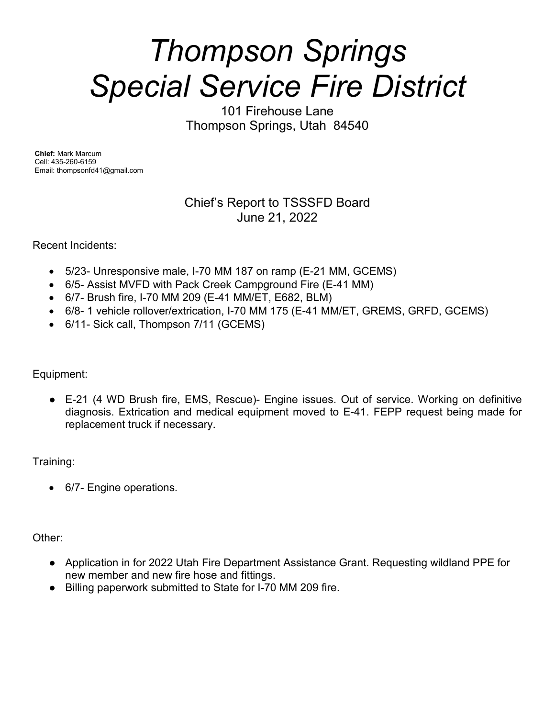# *Thompson Springs Special Service Fire District*

101 Firehouse Lane Thompson Springs, Utah 84540

**Chief:** Mark Marcum Cell: 435-260-6159 Email: thompsonfd41@gmail.com

### Chief's Report to TSSSFD Board June 21, 2022

Recent Incidents:

- 5/23- Unresponsive male, I-70 MM 187 on ramp (E-21 MM, GCEMS)
- 6/5- Assist MVFD with Pack Creek Campground Fire (E-41 MM)
- 6/7- Brush fire, I-70 MM 209 (E-41 MM/ET, E682, BLM)
- 6/8- 1 vehicle rollover/extrication, I-70 MM 175 (E-41 MM/ET, GREMS, GRFD, GCEMS)
- 6/11- Sick call, Thompson 7/11 (GCEMS)

Equipment:

● E-21 (4 WD Brush fire, EMS, Rescue)- Engine issues. Out of service. Working on definitive diagnosis. Extrication and medical equipment moved to E-41. FEPP request being made for replacement truck if necessary.

Training:

• 6/7- Engine operations.

Other:

- Application in for 2022 Utah Fire Department Assistance Grant. Requesting wildland PPE for new member and new fire hose and fittings.
- Billing paperwork submitted to State for I-70 MM 209 fire.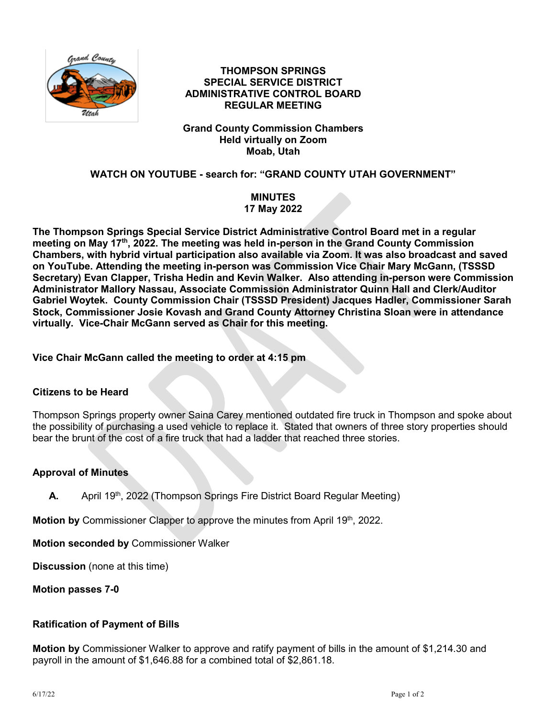

#### **THOMPSON SPRINGS SPECIAL SERVICE DISTRICT ADMINISTRATIVE CONTROL BOARD REGULAR MEETING**

#### **Grand County Commission Chambers Held virtually on Zoom Moab, Utah**

#### **WATCH ON YOUTUBE - search for: "GRAND COUNTY UTAH GOVERNMENT"**

#### **MINUTES 17 May 2022**

**The Thompson Springs Special Service District Administrative Control Board met in a regular meeting on May 17th, 2022. The meeting was held in-person in the Grand County Commission Chambers, with hybrid virtual participation also available via Zoom. It was also broadcast and saved on YouTube. Attending the meeting in-person was Commission Vice Chair Mary McGann, (TSSSD Secretary) Evan Clapper, Trisha Hedin and Kevin Walker. Also attending in-person were Commission Administrator Mallory Nassau, Associate Commission Administrator Quinn Hall and Clerk/Auditor Gabriel Woytek. County Commission Chair (TSSSD President) Jacques Hadler, Commissioner Sarah Stock, Commissioner Josie Kovash and Grand County Attorney Christina Sloan were in attendance virtually. Vice-Chair McGann served as Chair for this meeting.**

**Vice Chair McGann called the meeting to order at 4:15 pm**

#### **Citizens to be Heard**

Thompson Springs property owner Saina Carey mentioned outdated fire truck in Thompson and spoke about the possibility of purchasing a used vehicle to replace it. Stated that owners of three story properties should bear the brunt of the cost of a fire truck that had a ladder that reached three stories.

#### **Approval of Minutes**

**A.** April 19<sup>th</sup>, 2022 (Thompson Springs Fire District Board Regular Meeting)

**Motion by** Commissioner Clapper to approve the minutes from April 19<sup>th</sup>, 2022.

**Motion seconded by** Commissioner Walker

**Discussion** (none at this time)

**Motion passes 7-0**

#### **Ratification of Payment of Bills**

**Motion by** Commissioner Walker to approve and ratify payment of bills in the amount of \$1,214.30 and payroll in the amount of \$1,646.88 for a combined total of \$2,861.18.